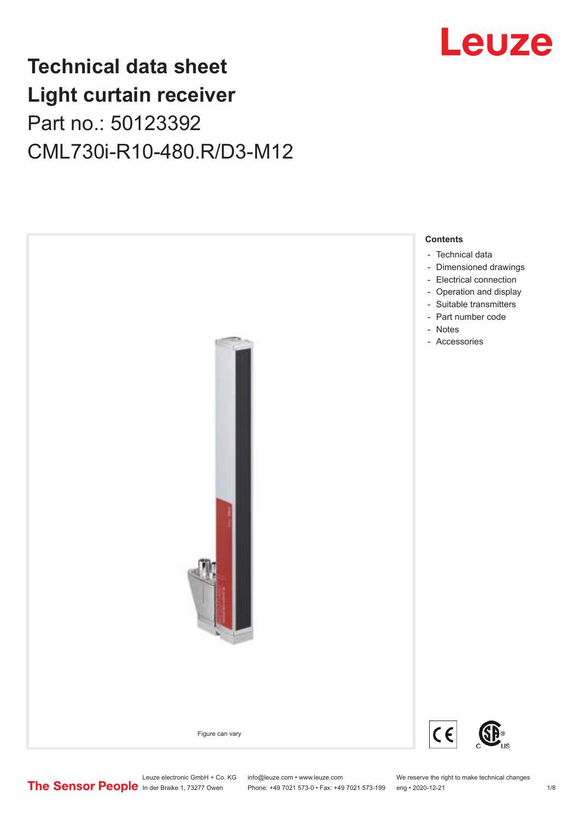## Leuze

## **Technical data sheet Light curtain receiver** Part no.: 50123392 CML730i-R10-480.R/D3-M12



Leuze electronic GmbH + Co. KG info@leuze.com • www.leuze.com We reserve the right to make technical changes<br>
The Sensor People in der Braike 1, 73277 Owen Phone: +49 7021 573-0 • Fax: +49 7021 573-199 eng • 2020-12-21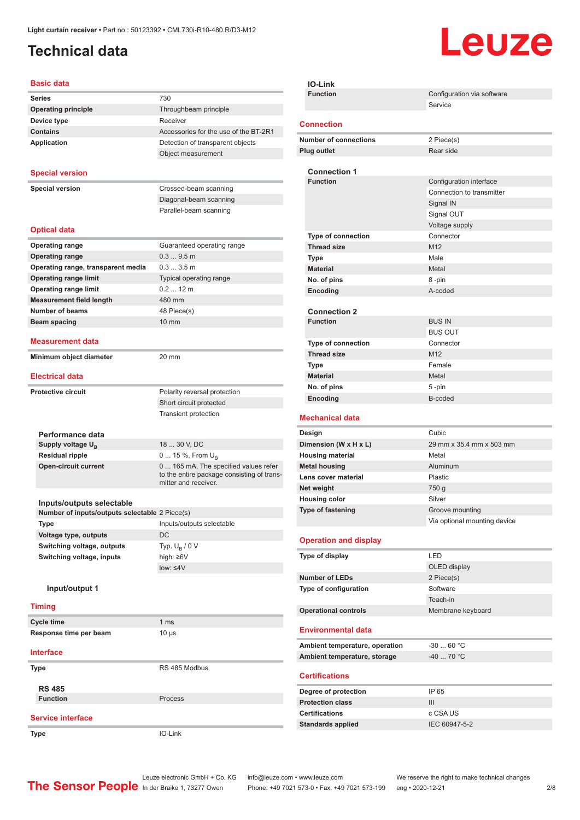### <span id="page-1-0"></span>**Technical data**

# Leuze

#### **Basic data**

| <b>Dasic data</b>                              |                                            |
|------------------------------------------------|--------------------------------------------|
| <b>Series</b>                                  | 730                                        |
| <b>Operating principle</b>                     | Throughbeam principle                      |
| Device type                                    | Receiver                                   |
| <b>Contains</b>                                | Accessories for the use of the BT-2R1      |
| <b>Application</b>                             | Detection of transparent objects           |
|                                                | Object measurement                         |
| <b>Special version</b>                         |                                            |
|                                                |                                            |
| <b>Special version</b>                         | Crossed-beam scanning                      |
|                                                | Diagonal-beam scanning                     |
|                                                | Parallel-beam scanning                     |
| <b>Optical data</b>                            |                                            |
| <b>Operating range</b>                         | Guaranteed operating range                 |
| <b>Operating range</b>                         | 0.39.5m                                    |
| Operating range, transparent media             | 0.33.5m                                    |
| <b>Operating range limit</b>                   | Typical operating range                    |
| <b>Operating range limit</b>                   | $0.212$ m                                  |
| <b>Measurement field length</b>                | 480 mm                                     |
| <b>Number of beams</b>                         | 48 Piece(s)                                |
| Beam spacing                                   | $10 \text{ mm}$                            |
| <b>Measurement data</b>                        |                                            |
| Minimum object diameter                        | 20 mm                                      |
| <b>Electrical data</b>                         |                                            |
| <b>Protective circuit</b>                      | Polarity reversal protection               |
|                                                | Short circuit protected                    |
|                                                | <b>Transient protection</b>                |
|                                                |                                            |
| Performance data                               |                                            |
| Supply voltage $U_{B}$                         | 18  30 V, DC                               |
| <b>Residual ripple</b>                         | 0  15 %, From $U_{\rm B}$                  |
| <b>Open-circuit current</b>                    | 0 165 mA, The specified values refer       |
|                                                | to the entire package consisting of trans- |
|                                                | mitter and receiver.                       |
| Inputs/outputs selectable                      |                                            |
| Number of inputs/outputs selectable 2 Piece(s) |                                            |
| Type                                           | Inputs/outputs selectable                  |
| Voltage type, outputs                          | DC                                         |
| Switching voltage, outputs                     | Typ. $U_B / 0 V$                           |
| Switching voltage, inputs                      | high: ≥6V                                  |
|                                                | $low: 4V$                                  |
| Input/output 1                                 |                                            |
|                                                |                                            |
| <b>Timing</b>                                  |                                            |
| <b>Cycle time</b>                              | 1 <sub>ms</sub>                            |
| Response time per beam                         | $10 \mu s$                                 |
| <b>Interface</b>                               |                                            |
| Type                                           | RS 485 Modbus                              |
| <b>RS 485</b>                                  |                                            |
| <b>Function</b>                                | Process                                    |
|                                                |                                            |
| <b>Service interface</b>                       |                                            |
| Type                                           | IO-Link                                    |
|                                                |                                            |

|                       | IO-Link                        |                              |  |
|-----------------------|--------------------------------|------------------------------|--|
|                       | <b>Function</b>                | Configuration via software   |  |
|                       |                                | Service                      |  |
|                       |                                |                              |  |
|                       | <b>Connection</b>              |                              |  |
|                       | <b>Number of connections</b>   | 2 Piece(s)                   |  |
|                       | <b>Plug outlet</b>             | Rear side                    |  |
|                       |                                |                              |  |
|                       | <b>Connection 1</b>            |                              |  |
|                       | <b>Function</b>                | Configuration interface      |  |
|                       |                                | Connection to transmitter    |  |
|                       |                                | Signal IN                    |  |
|                       |                                | Signal OUT                   |  |
|                       |                                | Voltage supply               |  |
|                       | <b>Type of connection</b>      | Connector                    |  |
|                       | <b>Thread size</b>             | M <sub>12</sub>              |  |
|                       | <b>Type</b>                    | Male                         |  |
|                       | <b>Material</b>                | Metal                        |  |
|                       | No. of pins                    | 8 -pin                       |  |
|                       | Encoding                       | A-coded                      |  |
|                       | <b>Connection 2</b>            |                              |  |
|                       | <b>Function</b>                | <b>BUS IN</b>                |  |
|                       |                                | <b>BUS OUT</b>               |  |
|                       | <b>Type of connection</b>      | Connector                    |  |
|                       | <b>Thread size</b>             | M <sub>12</sub>              |  |
|                       | Type                           | Female                       |  |
|                       | <b>Material</b>                | Metal                        |  |
|                       | No. of pins                    | 5-pin                        |  |
|                       | Encoding                       | B-coded                      |  |
|                       |                                |                              |  |
|                       | <b>Mechanical data</b>         |                              |  |
|                       | Design                         | Cubic                        |  |
| Dimension (W x H x L) |                                | 29 mm x 35.4 mm x 503 mm     |  |
|                       | <b>Housing material</b>        | Metal                        |  |
|                       | <b>Metal housing</b>           | Aluminum                     |  |
|                       | Lens cover material            | Plastic                      |  |
|                       | Net weight                     | 750 g                        |  |
|                       | <b>Housing color</b>           | Silver                       |  |
|                       | <b>Type of fastening</b>       | Groove mounting              |  |
|                       |                                | Via optional mounting device |  |
|                       |                                |                              |  |
|                       | <b>Operation and display</b>   |                              |  |
|                       | Type of display                | LED                          |  |
|                       |                                | OLED display                 |  |
|                       | <b>Number of LEDs</b>          | 2 Piece(s)                   |  |
|                       | Type of configuration          | Software                     |  |
|                       |                                | Teach-in                     |  |
|                       | <b>Operational controls</b>    | Membrane keyboard            |  |
|                       |                                |                              |  |
|                       | <b>Environmental data</b>      |                              |  |
|                       | Ambient temperature, operation | $-30$ 60 °C                  |  |
|                       | Ambient temperature, storage   | $-40$ 70 °C                  |  |
|                       |                                |                              |  |
|                       | <b>Certifications</b>          |                              |  |
|                       | Degree of protection           | IP 65                        |  |
|                       | <b>Protection class</b>        | III                          |  |
|                       |                                |                              |  |

| <b>Certifications</b>    | c CSA US      |
|--------------------------|---------------|
| <b>Standards applied</b> | IEC 60947-5-2 |
|                          |               |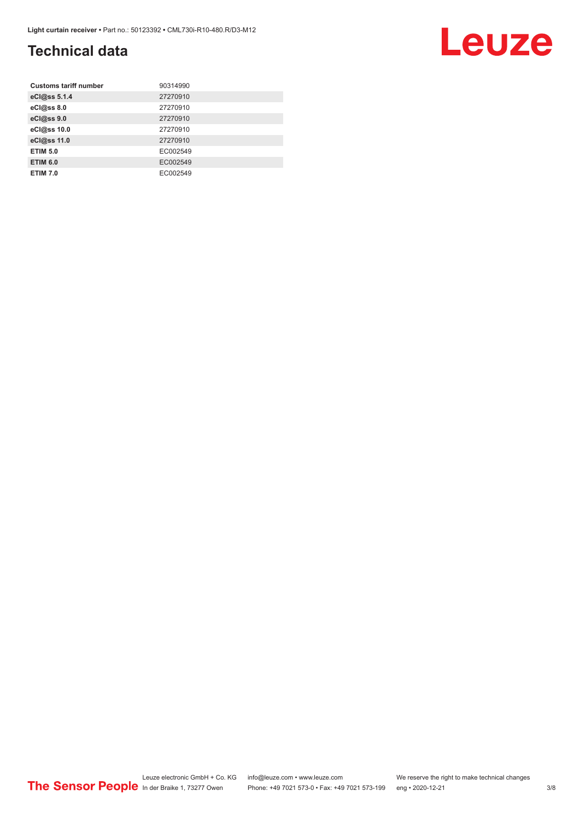### **Technical data**

| <b>Customs tariff number</b> | 90314990 |
|------------------------------|----------|
| eCl@ss 5.1.4                 | 27270910 |
| eCl@ss 8.0                   | 27270910 |
| eCl@ss 9.0                   | 27270910 |
| eCl@ss 10.0                  | 27270910 |
| eCl@ss 11.0                  | 27270910 |
| <b>ETIM 5.0</b>              | EC002549 |
| <b>ETIM 6.0</b>              | EC002549 |
| <b>ETIM 7.0</b>              | EC002549 |

## Leuze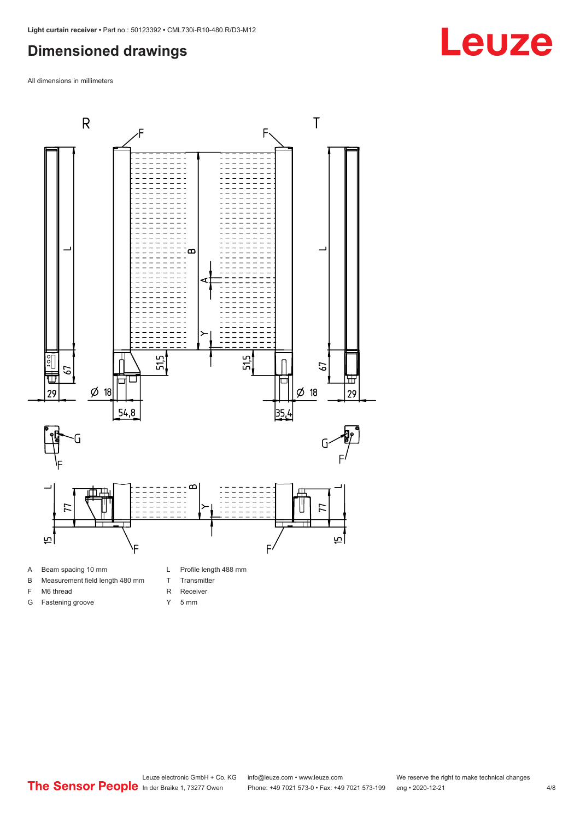#### <span id="page-3-0"></span>**Dimensioned drawings**

All dimensions in millimeters



B Measurement field length 480 mm

- T Transmitter
- F M6 thread G Fastening groove
- 
- 
- R Receiver
- Y 5 mm



## **Leuze**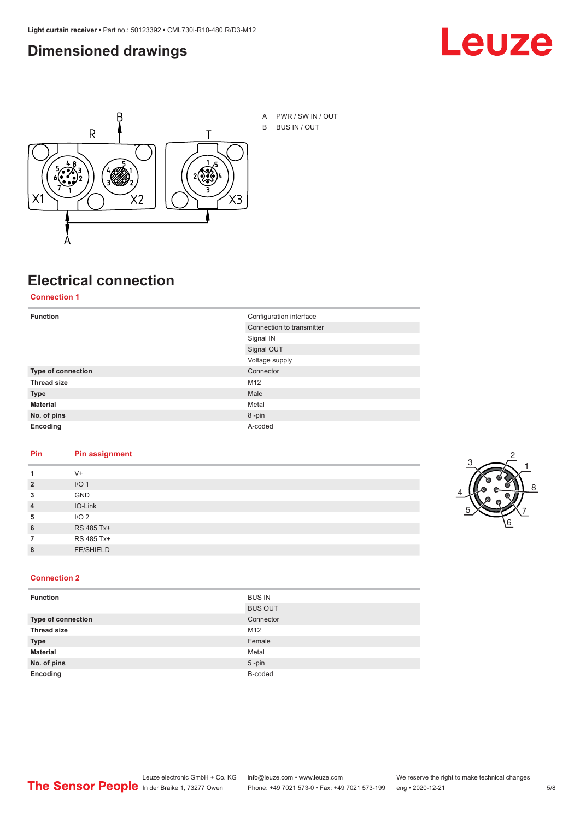#### <span id="page-4-0"></span>**Dimensioned drawings**





A PWR / SW IN / OUT B BUS IN / OUT

### **Electrical connection**

**Connection 1**

| <b>Function</b>    | Configuration interface   |
|--------------------|---------------------------|
|                    | Connection to transmitter |
|                    | Signal IN                 |
|                    | Signal OUT                |
|                    | Voltage supply            |
| Type of connection | Connector                 |
| <b>Thread size</b> | M12                       |
| <b>Type</b>        | Male                      |
| <b>Material</b>    | Metal                     |
| No. of pins        | 8-pin                     |
| Encoding           | A-coded                   |

#### **Pin Pin assignment**

| 1              | $V +$            |  |  |
|----------------|------------------|--|--|
| $\overline{2}$ | I/O <sub>1</sub> |  |  |
| 3              | <b>GND</b>       |  |  |
| $\overline{4}$ | IO-Link          |  |  |
| 5              | I/O <sub>2</sub> |  |  |
| 6              | RS 485 Tx+       |  |  |
| 7              | RS 485 Tx+       |  |  |
| 8              | <b>FE/SHIELD</b> |  |  |
|                |                  |  |  |



#### **Connection 2**

| <b>Function</b>           | <b>BUS IN</b>  |
|---------------------------|----------------|
|                           | <b>BUS OUT</b> |
| <b>Type of connection</b> | Connector      |
| <b>Thread size</b>        | M12            |
| <b>Type</b>               | Female         |
| <b>Material</b>           | Metal          |
| No. of pins               | $5 - pin$      |
| Encoding                  | B-coded        |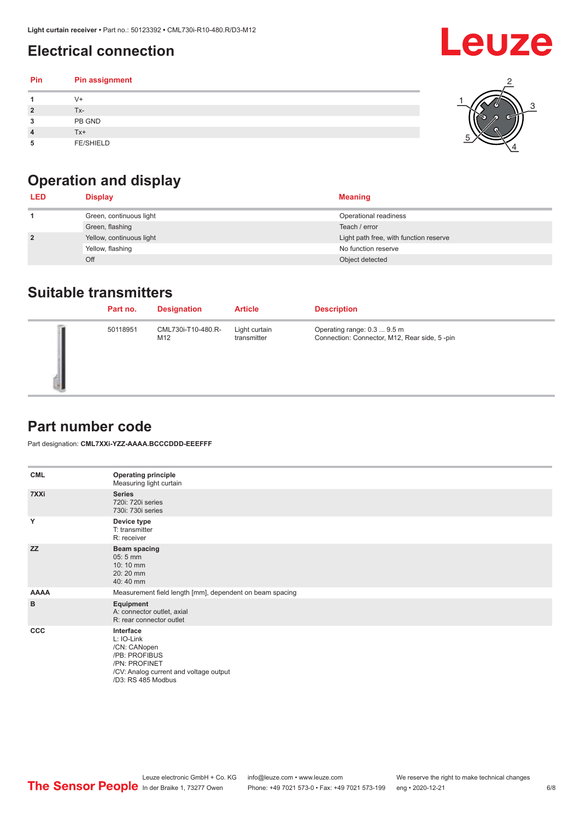### <span id="page-5-0"></span>**Electrical connection**

#### **Pin Pin assignment 1** V+ **2** Tx-**3** PB GND **4** Tx+ **5** FE/SHIELD 3 2 1 5 4

### **Operation and display**

| <b>LED</b>     | <b>Display</b>           | <b>Meaning</b>                         |
|----------------|--------------------------|----------------------------------------|
|                | Green, continuous light  | Operational readiness                  |
|                | Green, flashing          | Teach / error                          |
| $\overline{2}$ | Yellow, continuous light | Light path free, with function reserve |
|                | Yellow, flashing         | No function reserve                    |
|                | Off                      | Object detected                        |

#### **Suitable transmitters**

| Part no. | <b>Designation</b>        | <b>Article</b>               | <b>Description</b>                                                          |
|----------|---------------------------|------------------------------|-----------------------------------------------------------------------------|
| 50118951 | CML730i-T10-480.R-<br>M12 | Light curtain<br>transmitter | Operating range: 0.3  9.5 m<br>Connection: Connector, M12, Rear side, 5-pin |

#### **Part number code**

Part designation: **CML7XXi-YZZ-AAAA.BCCCDDD-EEEFFF**

| <b>CML</b>  | <b>Operating principle</b><br>Measuring light curtain                                                                                     |
|-------------|-------------------------------------------------------------------------------------------------------------------------------------------|
| 7XXi        | <b>Series</b><br>720i: 720i series<br>730i: 730i series                                                                                   |
| Y           | Device type<br>T: transmitter<br>R: receiver                                                                                              |
| <b>ZZ</b>   | <b>Beam spacing</b><br>05:5 mm<br>10:10 mm<br>20:20 mm<br>40:40 mm                                                                        |
| <b>AAAA</b> | Measurement field length [mm], dependent on beam spacing                                                                                  |
| в           | Equipment<br>A: connector outlet, axial<br>R: rear connector outlet                                                                       |
| <b>CCC</b>  | Interface<br>L: IO-Link<br>/CN: CANopen<br>/PB: PROFIBUS<br>/PN: PROFINET<br>/CV: Analog current and voltage output<br>/D3: RS 485 Modbus |

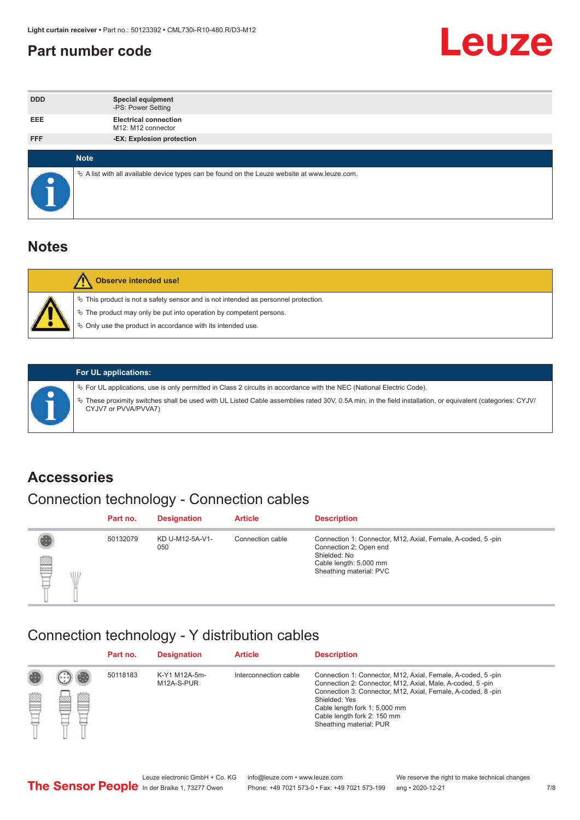#### <span id="page-6-0"></span>**Part number code**



| <b>DDD</b> |             | <b>Special equipment</b><br>-PS: Power Setting                                                  |
|------------|-------------|-------------------------------------------------------------------------------------------------|
| <b>EEE</b> |             | <b>Electrical connection</b><br>M12: M12 connector                                              |
| <b>FFF</b> |             | -EX: Explosion protection                                                                       |
|            | <b>Note</b> |                                                                                                 |
| $\bullet$  |             | $\&$ A list with all available device types can be found on the Leuze website at www.leuze.com. |

#### **Notes**

| <b>Observe intended use!</b>                                                                                                                                                                                                  |
|-------------------------------------------------------------------------------------------------------------------------------------------------------------------------------------------------------------------------------|
| $\%$ This product is not a safety sensor and is not intended as personnel protection.<br>$\%$ The product may only be put into operation by competent persons.<br>♦ Only use the product in accordance with its intended use. |



#### **For UL applications:**

ª For UL applications, use is only permitted in Class 2 circuits in accordance with the NEC (National Electric Code). ª These proximity switches shall be used with UL Listed Cable assemblies rated 30V, 0.5A min, in the field installation, or equivalent (categories: CYJV/ CYJV7 or PVVA/PVVA7)

#### **Accessories**

### Connection technology - Connection cables

|        | Part no. | <b>Designation</b>     | <b>Article</b>   | <b>Description</b>                                                                                                                                         |
|--------|----------|------------------------|------------------|------------------------------------------------------------------------------------------------------------------------------------------------------------|
| 2<br>W | 50132079 | KD U-M12-5A-V1-<br>050 | Connection cable | Connection 1: Connector, M12, Axial, Female, A-coded, 5-pin<br>Connection 2: Open end<br>Shielded: No<br>Cable length: 5,000 mm<br>Sheathing material: PVC |

#### Connection technology - Y distribution cables

|             |   | Part no. | <b>Designation</b>          | <b>Article</b>        | <b>Description</b>                                                                                                                                                                                                                                                                                  |
|-------------|---|----------|-----------------------------|-----------------------|-----------------------------------------------------------------------------------------------------------------------------------------------------------------------------------------------------------------------------------------------------------------------------------------------------|
| 圔<br>⋿<br>٣ | ø | 50118183 | K-Y1 M12A-5m-<br>M12A-S-PUR | Interconnection cable | Connection 1: Connector, M12, Axial, Female, A-coded, 5-pin<br>Connection 2: Connector, M12, Axial, Male, A-coded, 5-pin<br>Connection 3: Connector, M12, Axial, Female, A-coded, 8-pin<br>Shielded: Yes<br>Cable length fork 1: 5,000 mm<br>Cable length fork 2: 150 mm<br>Sheathing material: PUR |